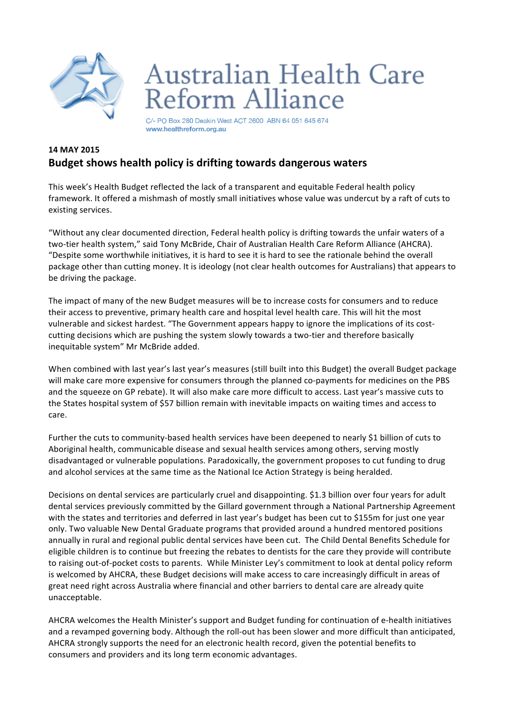

## Australian Health Care Reform Alliance

C/- PO Box 280 Deakin West ACT 2600 ABN 64 051 645 674 www.healthreform.org.au

## **14 MAY 2015 Budget shows health policy is drifting towards dangerous waters**

This week's Health Budget reflected the lack of a transparent and equitable Federal health policy framework. It offered a mishmash of mostly small initiatives whose value was undercut by a raft of cuts to existing services. 

"Without any clear documented direction, Federal health policy is drifting towards the unfair waters of a two-tier health system," said Tony McBride, Chair of Australian Health Care Reform Alliance (AHCRA). "Despite some worthwhile initiatives, it is hard to see it is hard to see the rationale behind the overall package other than cutting money. It is ideology (not clear health outcomes for Australians) that appears to be driving the package.

The impact of many of the new Budget measures will be to increase costs for consumers and to reduce their access to preventive, primary health care and hospital level health care. This will hit the most vulnerable and sickest hardest. "The Government appears happy to ignore the implications of its costcutting decisions which are pushing the system slowly towards a two-tier and therefore basically inequitable system" Mr McBride added.

When combined with last year's last year's measures (still built into this Budget) the overall Budget package will make care more expensive for consumers through the planned co-payments for medicines on the PBS and the squeeze on GP rebate). It will also make care more difficult to access. Last year's massive cuts to the States hospital system of \$57 billion remain with inevitable impacts on waiting times and access to care. 

Further the cuts to community-based health services have been deepened to nearly \$1 billion of cuts to Aboriginal health, communicable disease and sexual health services among others, serving mostly disadvantaged or vulnerable populations. Paradoxically, the government proposes to cut funding to drug and alcohol services at the same time as the National Ice Action Strategy is being heralded.

Decisions on dental services are particularly cruel and disappointing. \$1.3 billion over four years for adult dental services previously committed by the Gillard government through a National Partnership Agreement with the states and territories and deferred in last year's budget has been cut to \$155m for just one year only. Two valuable New Dental Graduate programs that provided around a hundred mentored positions annually in rural and regional public dental services have been cut. The Child Dental Benefits Schedule for eligible children is to continue but freezing the rebates to dentists for the care they provide will contribute to raising out-of-pocket costs to parents. While Minister Ley's commitment to look at dental policy reform is welcomed by AHCRA, these Budget decisions will make access to care increasingly difficult in areas of great need right across Australia where financial and other barriers to dental care are already quite unacceptable. 

AHCRA welcomes the Health Minister's support and Budget funding for continuation of e-health initiatives and a revamped governing body. Although the roll-out has been slower and more difficult than anticipated, AHCRA strongly supports the need for an electronic health record, given the potential benefits to consumers and providers and its long term economic advantages.